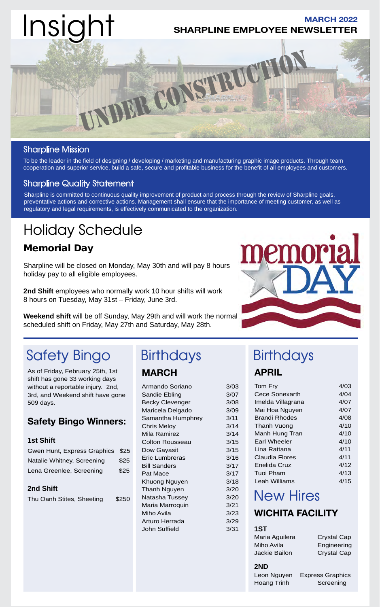

### Sharpline Mission

To be the leader in the field of designing / developing / marketing and manufacturing graphic image products. Through team cooperation and superior service, build a safe, secure and profitable business for the benefit of all employees and customers.

### Sharpline Quality Statement

Sharpline is committed to continuous quality improvement of product and process through the review of Sharpline goals, preventative actions and corrective actions. Management shall ensure that the importance of meeting customer, as well as regulatory and legal requirements, is effectively communicated to the organization.

### Holiday Schedule

### Memorial Day

Sharpline will be closed on Monday, May 30th and will pay 8 hours holiday pay to all eligible employees.

**2nd Shift** employees who normally work 10 hour shifts will work 8 hours on Tuesday, May 31st – Friday, June 3rd.

**Weekend shift** will be off Sunday, May 29th and will work the normal scheduled shift on Friday, May 27th and Saturday, May 28th.

### Safety Bingo Birthdays Birthdays

As of Friday, February 25th, 1st shift has gone 33 working days without a reportable injury. 2nd, 3rd, and Weekend shift have gone 509 days.

### **Safety Bingo Winners:**

#### **1st Shift**

| Gwen Hunt, Express Graphics \$25 |      |
|----------------------------------|------|
| Natalie Whitney, Screening       | \$25 |
| Lena Greenlee, Screening         | \$25 |

#### **2nd Shift**

Thu Oanh Stites, Sheeting \$250

### **MARCH**

| Armando Soriano        | 3/03 |
|------------------------|------|
| Sandie Ebling          | 3/07 |
| <b>Becky Clevenger</b> | 3/08 |
| Maricela Delgado       | 3/09 |
| Samantha Humphrey      | 3/11 |
| Chris Meloy            | 3/14 |
| Mila Ramirez           | 3/14 |
| <b>Colton Rousseau</b> | 3/15 |
| Dow Gayasit            | 3/15 |
| Eric Lumbreras         | 3/16 |
| <b>Bill Sanders</b>    | 3/17 |
| Pat Mace               | 3/17 |
| Khuong Nguyen          | 3/18 |
| Thanh Nguyen           | 3/20 |
| Natasha Tussey         | 3/20 |
| Maria Marroquin        | 3/21 |
| Miho Avila             | 3/23 |
| Arturo Herrada         | 3/29 |
| John Suffield          | 3/31 |
|                        |      |



# **APRIL**

 $3/03$  $3/07$  $3/08$ 3/09  $3/11$  $3/14$ 

 $3/17$  $3/17$  $3/18$  $3/20$  $3/20$  $3/21$ 

| Tom Fry               | 4/03 |
|-----------------------|------|
| <b>Cece Sonexarth</b> | 4/04 |
| Imelda Villagrana     | 4/07 |
| Mai Hoa Nguyen        | 4/07 |
| Brandi Rhodes         | 4/08 |
| Thanh Vuong           | 4/10 |
| Manh Hung Tran        | 4/10 |
| Earl Wheeler          | 4/10 |
| Lina Rattana          | 4/11 |
| Claudia Flores        | 4/11 |
| Enelida Cruz          | 4/12 |
| Tuoi Pham             | 4/13 |
| Leah Williams         | 4/15 |

### New Hires

### **WICHITA FACILITY**

#### **1ST**

| Maria Aguilera | <b>Crystal Cap</b> |
|----------------|--------------------|
| Miho Avila     | Engineering        |
| Jackie Bailon  | <b>Crystal Cap</b> |
|                |                    |

### **2ND**

| ZND                |                         |
|--------------------|-------------------------|
| Leon Nguyen        | <b>Express Graphics</b> |
| <b>Hoang Trinh</b> | Screening               |